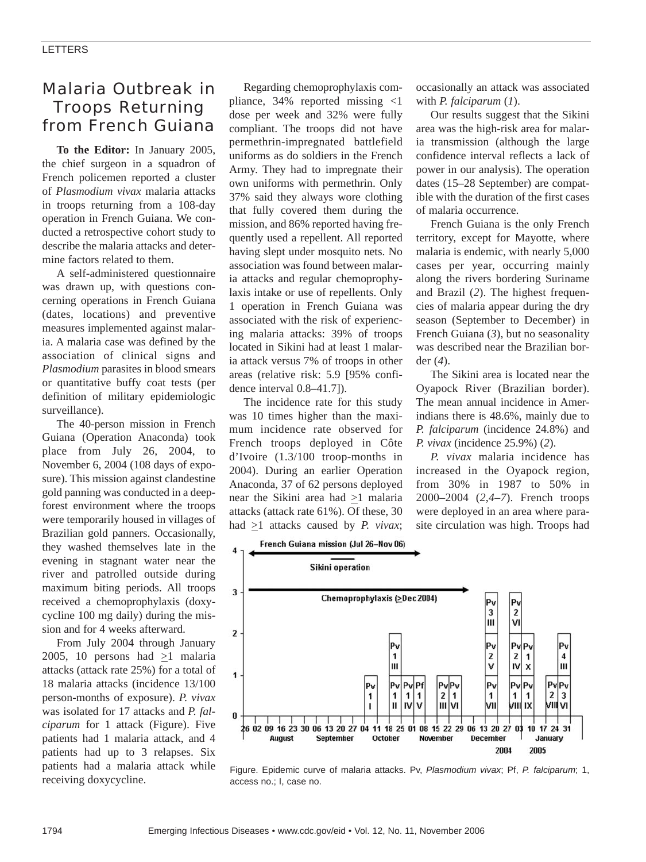# Malaria Outbreak in Troops Returning from French Guiana

**To the Editor:** In January 2005, the chief surgeon in a squadron of French policemen reported a cluster of *Plasmodium vivax* malaria attacks in troops returning from a 108-day operation in French Guiana. We conducted a retrospective cohort study to describe the malaria attacks and determine factors related to them.

A self-administered questionnaire was drawn up, with questions concerning operations in French Guiana (dates, locations) and preventive measures implemented against malaria. A malaria case was defined by the association of clinical signs and *Plasmodium* parasites in blood smears or quantitative buffy coat tests (per definition of military epidemiologic surveillance).

The 40-person mission in French Guiana (Operation Anaconda) took place from July 26, 2004, to November 6, 2004 (108 days of exposure). This mission against clandestine gold panning was conducted in a deepforest environment where the troops were temporarily housed in villages of Brazilian gold panners. Occasionally, they washed themselves late in the evening in stagnant water near the river and patrolled outside during maximum biting periods. All troops received a chemoprophylaxis (doxycycline 100 mg daily) during the mission and for 4 weeks afterward.

From July 2004 through January 2005, 10 persons had >1 malaria attacks (attack rate 25%) for a total of 18 malaria attacks (incidence 13/100 person-months of exposure). *P. vivax* was isolated for 17 attacks and *P. falciparum* for 1 attack (Figure). Five patients had 1 malaria attack, and 4 patients had up to 3 relapses. Six patients had a malaria attack while receiving doxycycline.

Regarding chemoprophylaxis compliance, 34% reported missing <1 dose per week and 32% were fully compliant. The troops did not have permethrin-impregnated battlefield uniforms as do soldiers in the French Army. They had to impregnate their own uniforms with permethrin. Only 37% said they always wore clothing that fully covered them during the mission, and 86% reported having frequently used a repellent. All reported having slept under mosquito nets. No association was found between malaria attacks and regular chemoprophylaxis intake or use of repellents. Only 1 operation in French Guiana was associated with the risk of experiencing malaria attacks: 39% of troops located in Sikini had at least 1 malaria attack versus 7% of troops in other areas (relative risk: 5.9 [95% confidence interval 0.8–41.7]).

The incidence rate for this study was 10 times higher than the maximum incidence rate observed for French troops deployed in Côte d'Ivoire (1.3/100 troop-months in 2004). During an earlier Operation Anaconda, 37 of 62 persons deployed near the Sikini area had  $\geq 1$  malaria attacks (attack rate 61%). Of these, 30 had  $\geq$ 1 attacks caused by *P. vivax*;

occasionally an attack was associated with *P. falciparum* (*1*).

Our results suggest that the Sikini area was the high-risk area for malaria transmission (although the large confidence interval reflects a lack of power in our analysis). The operation dates (15–28 September) are compatible with the duration of the first cases of malaria occurrence.

French Guiana is the only French territory, except for Mayotte, where malaria is endemic, with nearly 5,000 cases per year, occurring mainly along the rivers bordering Suriname and Brazil (*2*). The highest frequencies of malaria appear during the dry season (September to December) in French Guiana (*3*), but no seasonality was described near the Brazilian border (*4*).

The Sikini area is located near the Oyapock River (Brazilian border). The mean annual incidence in Amerindians there is 48.6%, mainly due to *P. falciparum* (incidence 24.8%) and *P. vivax* (incidence 25.9%) (*2*).

*P. vivax* malaria incidence has increased in the Oyapock region, from 30% in 1987 to 50% in 2000–2004 (*2*,*4*–*7*). French troops were deployed in an area where parasite circulation was high. Troops had

French Guiana mission (Jul 26-Nov 06)  $\overline{\bf{4}}$ 



Figure. Epidemic curve of malaria attacks. Pv, *Plasmodium vivax*; Pf, *P. falciparum*; 1, access no.; I, case no.